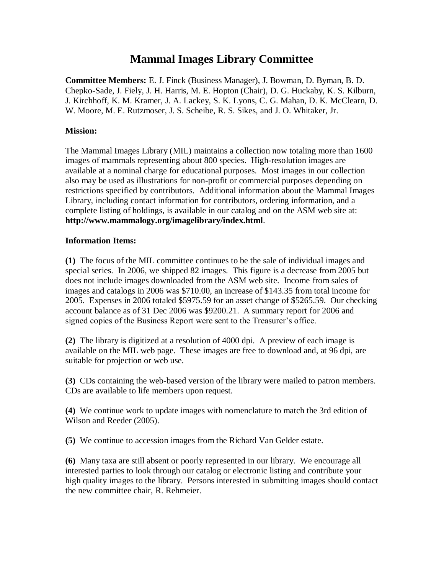## **Mammal Images Library Committee**

**Committee Members:** E. J. Finck (Business Manager), J. Bowman, D. Byman, B. D. Chepko-Sade, J. Fiely, J. H. Harris, M. E. Hopton (Chair), D. G. Huckaby, K. S. Kilburn, J. Kirchhoff, K. M. Kramer, J. A. Lackey, S. K. Lyons, C. G. Mahan, D. K. McClearn, D. W. Moore, M. E. Rutzmoser, J. S. Scheibe, R. S. Sikes, and J. O. Whitaker, Jr.

## **Mission:**

The Mammal Images Library (MIL) maintains a collection now totaling more than 1600 images of mammals representing about 800 species. High-resolution images are available at a nominal charge for educational purposes. Most images in our collection also may be used as illustrations for non-profit or commercial purposes depending on restrictions specified by contributors. Additional information about the Mammal Images Library, including contact information for contributors, ordering information, and a complete listing of holdings, is available in our catalog and on the ASM web site at: **http://www.mammalogy.org/imagelibrary/index.html**.

## **Information Items:**

**(1)** The focus of the MIL committee continues to be the sale of individual images and special series. In 2006, we shipped 82 images. This figure is a decrease from 2005 but does not include images downloaded from the ASM web site. Income from sales of images and catalogs in 2006 was \$710.00, an increase of \$143.35 from total income for 2005. Expenses in 2006 totaled \$5975.59 for an asset change of \$5265.59. Our checking account balance as of 31 Dec 2006 was \$9200.21. A summary report for 2006 and signed copies of the Business Report were sent to the Treasurer's office.

**(2)** The library is digitized at a resolution of 4000 dpi. A preview of each image is available on the MIL web page. These images are free to download and, at 96 dpi, are suitable for projection or web use.

**(3)** CDs containing the web-based version of the library were mailed to patron members. CDs are available to life members upon request.

**(4)** We continue work to update images with nomenclature to match the 3rd edition of Wilson and Reeder (2005).

**(5)** We continue to accession images from the Richard Van Gelder estate.

**(6)** Many taxa are still absent or poorly represented in our library. We encourage all interested parties to look through our catalog or electronic listing and contribute your high quality images to the library. Persons interested in submitting images should contact the new committee chair, R. Rehmeier.